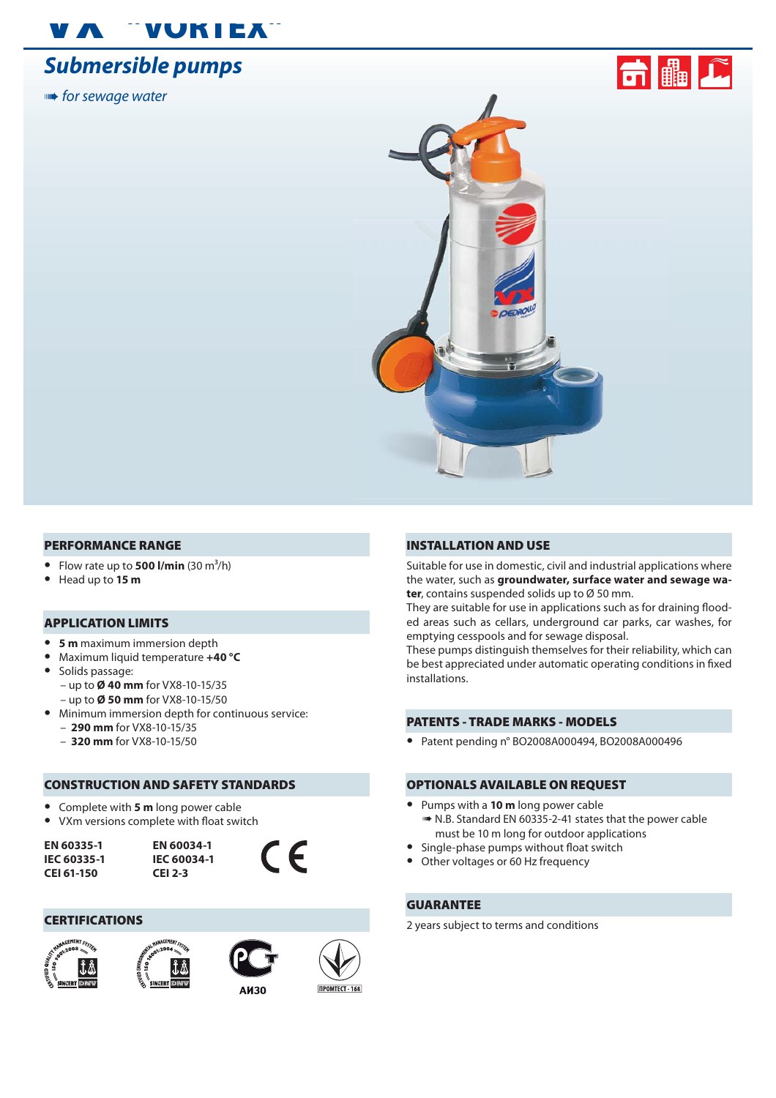# "VUKIEX"

## **Submersible pumps**

**■★** for sewage water



### PERFORMANCE RANGE

- Flow rate up to **500 l/min**  $(30 \text{ m}^3/\text{h})$
- **•** Head up to **15 m**

### APPLICATION LIMITS

- **• 5 m** maximum immersion depth
- **•** Maximum liquid temperature **+40 °C**
- **•** Solids passage:
	- up to **Ø 40 mm** for VX8-10-15/35
	- up to **Ø 50 mm** for VX8-10-15/50
- **•** Minimum immersion depth for continuous service: – **290 mm** for VX8-10-15/35
	- **320 mm** for VX8-10-15/50

### CONSTRUCTION AND SAFETY STANDARDS

- **•** Complete with **5 m** long power cable
- VXm versions complete with float switch

**EN 60335-1 IEC 60335-1 CEI 61-150**

**EN 60034-1 IEC 60034-1 CEI 2-3**



### **CERTIFICATIONS**









### INSTALLATION AND USE

Suitable for use in domestic, civil and industrial applications where the water, such as **groundwater, surface water and sewage water**, contains suspended solids up to Ø 50 mm.

They are suitable for use in applications such as for draining flooded areas such as cellars, underground car parks, car washes, for emptying cesspools and for sewage disposal.

These pumps distinguish themselves for their reliability, which can be best appreciated under automatic operating conditions in fixed installations.

### PATENTS - TRADE MARKS - MODELS

**•** Patent pending n° BO2008A000494, BO2008A000496

### OPTIONALS AVAILABLE ON REQUEST

- **•** Pumps with a **10 m** long power cable  $\blacktriangleright$  **N.B. Standard EN 60335-2-41 states that the power cable** must be 10 m long for outdoor applications
- Single-phase pumps without float switch
- **•** Other voltages or 60 Hz frequency

### GUARANTEE

2 years subject to terms and conditions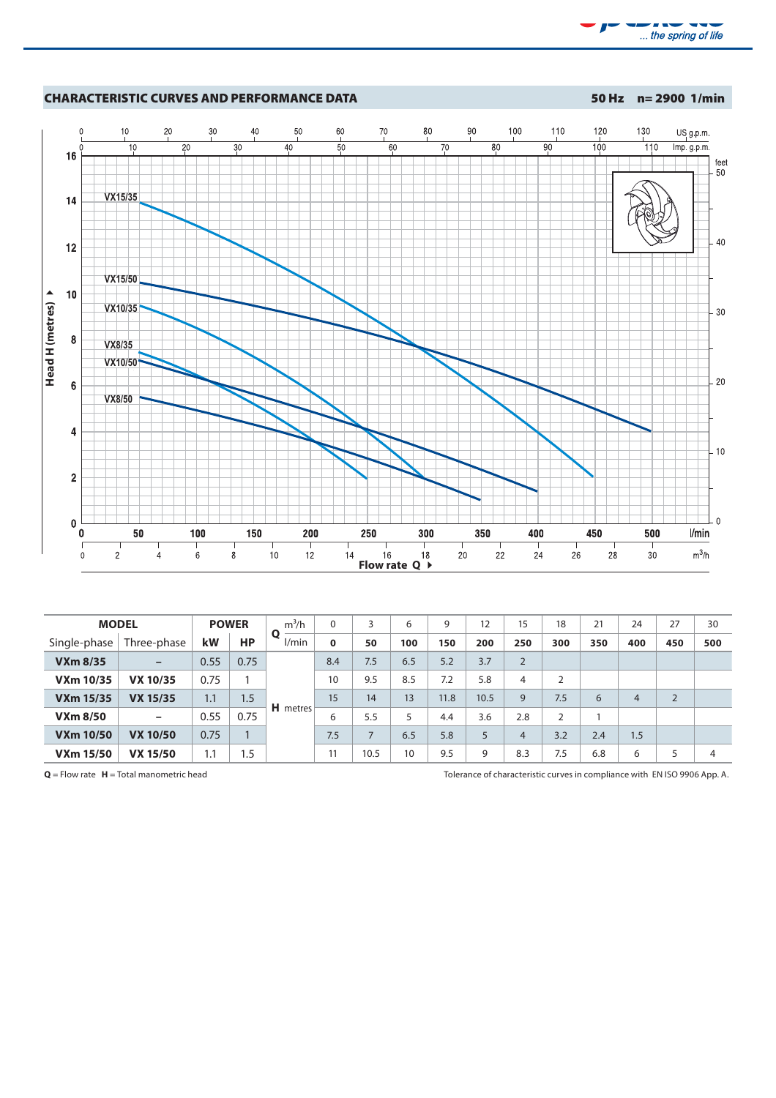



| <b>MODEL</b>     |                          |      | <b>POWER</b>   | $m^3/h$    | $\Omega$    | 3    | 6   | 9    | 12   | 15             | 18             | 21  | 24             | 27             | 30  |
|------------------|--------------------------|------|----------------|------------|-------------|------|-----|------|------|----------------|----------------|-----|----------------|----------------|-----|
| Single-phase     | Three-phase              | kW   | <b>HP</b>      | Ο<br>l/min | $\mathbf 0$ | 50   | 100 | 150  | 200  | 250            | 300            | 350 | 400            | 450            | 500 |
| <b>VXm 8/35</b>  | $\overline{\phantom{m}}$ | 0.55 | 0.75           |            | 8.4         | 7.5  | 6.5 | 5.2  | 3.7  | 2              |                |     |                |                |     |
| <b>VXm 10/35</b> | <b>VX 10/35</b>          | 0.75 |                |            | 10          | 9.5  | 8.5 | 7.2  | 5.8  | 4              | $\overline{2}$ |     |                |                |     |
| <b>VXm 15/35</b> | <b>VX 15/35</b>          | 1.1  | 1.5            |            | 15          | 14   | 13  | 11.8 | 10.5 | 9              | 7.5            | 6   | $\overline{4}$ | $\overline{2}$ |     |
| <b>VXm 8/50</b>  | $\overline{\phantom{m}}$ | 0.55 | 0.75           | H metres   | 6           | 5.5  | 5   | 4.4  | 3.6  | 2.8            | 2              |     |                |                |     |
| <b>VXm 10/50</b> | <b>VX 10/50</b>          | 0.75 | $\overline{1}$ |            | 7.5         |      | 6.5 | 5.8  | 5    | $\overline{4}$ | 3.2            | 2.4 | 1.5            |                |     |
| <b>VXm 15/50</b> | <b>VX 15/50</b>          | 1.1  | 1.5            |            | 11          | 10.5 | 10  | 9.5  | 9    | 8.3            | 7.5            | 6.8 | 6              |                | 4   |

**Q** = Flow rate **H** = Total manometric head Tolerance of characteristic curves in compliance with EN ISO 9906 App. A.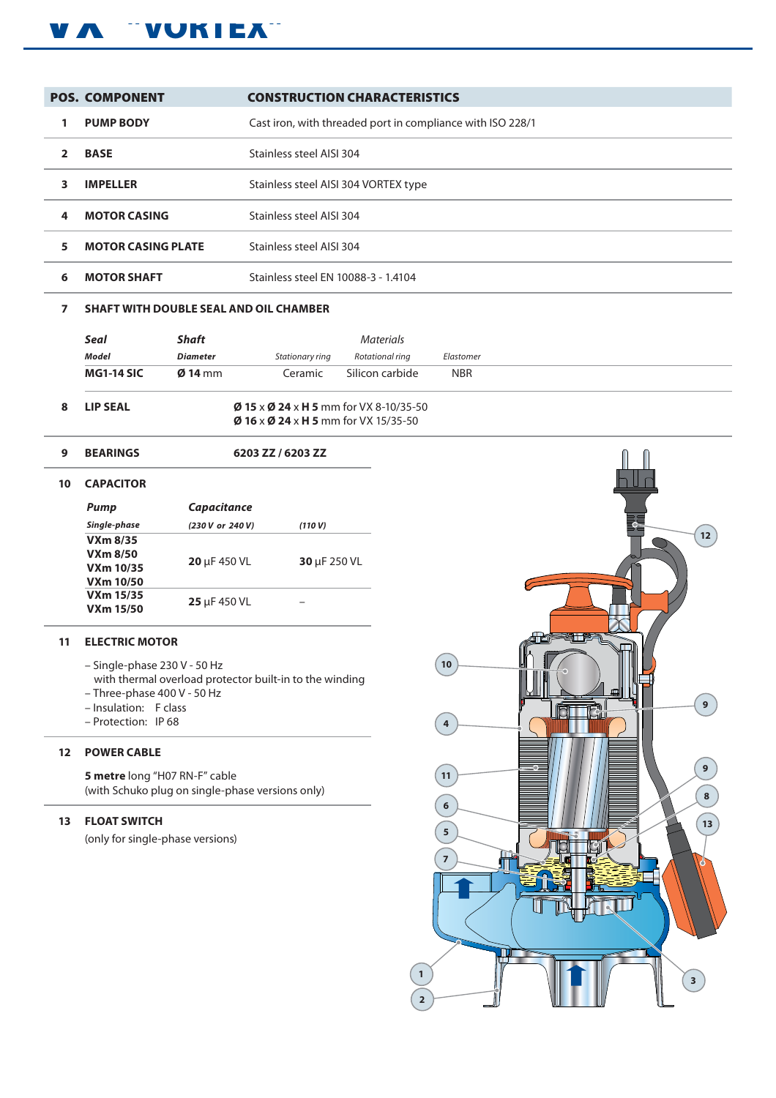## VA "VUKIEA"

|              | <b>POS. COMPONENT</b>     | <b>CONSTRUCTION CHARACTERISTICS</b>                        |
|--------------|---------------------------|------------------------------------------------------------|
|              | <b>PUMP BODY</b>          | Cast iron, with threaded port in compliance with ISO 228/1 |
| $\mathbf{z}$ | <b>BASE</b>               | Stainless steel AISI 304                                   |
| 3.           | <b>IMPELLER</b>           | Stainless steel AISI 304 VORTEX type                       |
| 4            | <b>MOTOR CASING</b>       | Stainless steel AISI 304                                   |
| 5            | <b>MOTOR CASING PLATE</b> | Stainless steel AISI 304                                   |
| 6            | <b>MOTOR SHAFT</b>        | Stainless steel EN 10088-3 - 1.4104                        |

### **7 SHAFT WITH DOUBLE SEAL AND OIL CHAMBER**

**9 BEARINGS 6203 ZZ / 6203 ZZ**

|    | Seal              | <b>Shaft</b>      |                                                          | <b>Materials</b>                                           |            |
|----|-------------------|-------------------|----------------------------------------------------------|------------------------------------------------------------|------------|
|    | Model             | <b>Diameter</b>   | Stationary ring                                          | Rotational rina                                            | Elastomer  |
|    | <b>MG1-14 SIC</b> | $\emptyset$ 14 mm | Ceramic                                                  | Silicon carbide                                            | <b>NBR</b> |
| 8. | <b>LIP SEAL</b>   |                   | $\emptyset$ 16 x $\emptyset$ 24 x H 5 mm for VX 15/35-50 | $\emptyset$ 15 x $\emptyset$ 24 x H 5 mm for VX 8-10/35-50 |            |

| 10 | <b>CAPACITOR</b> |
|----|------------------|
|----|------------------|

| Pump                                                    | <b>Capacitance</b> |              |
|---------------------------------------------------------|--------------------|--------------|
| Single-phase                                            | (230 V or 240 V)   | (110 V)      |
| $VXm$ 8/35<br>VXm 8/50<br>VXm 10/35<br><b>VXm 10/50</b> | $20 \mu F 450 VL$  | 30 µF 250 VL |
| VXm 15/35<br><b>VXm 15/50</b>                           | 25 µF 450 VL       |              |

### **11 ELECTRIC MOTOR**

- Single-phase 230 V 50 Hz
- with thermal overload protector built-in to the winding
- Three-phase 400 V 50 Hz
- Insulation: F class
- Protection: IP 68

### **12 POWER CABLE**

**5 metre** long "H07 RN-F" cable (with Schuko plug on single-phase versions only)

### **13 FLOAT SWITCH**

(only for single-phase versions)